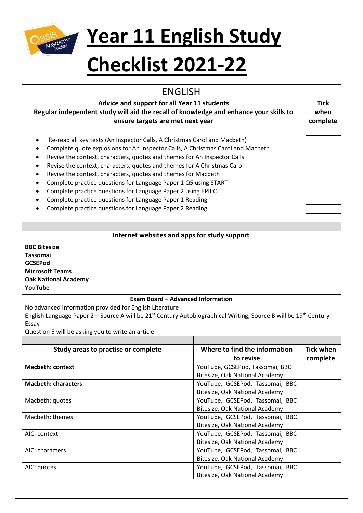

## **Year 11 English Study**

## **Checklist 2021-22**

| <b>ENGLISH</b>                                                                                                                           |                                 |                  |
|------------------------------------------------------------------------------------------------------------------------------------------|---------------------------------|------------------|
| Advice and support for all Year 11 students                                                                                              |                                 | <b>Tick</b>      |
| Regular independent study will aid the recall of knowledge and enhance your skills to                                                    |                                 | when             |
| ensure targets are met next year                                                                                                         |                                 | complete         |
|                                                                                                                                          |                                 |                  |
| Re-read all key texts (An Inspector Calls, A Christmas Carol and Macbeth)<br>٠                                                           |                                 |                  |
| Complete quote explosions for An Inspector Calls, A Christmas Carol and Macbeth                                                          |                                 |                  |
| Revise the context, characters, quotes and themes for An Inspector Calls<br>٠                                                            |                                 |                  |
| Revise the context, characters, quotes and themes for A Christmas Carol<br>٠                                                             |                                 |                  |
| Revise the context, characters, quotes and themes for Macbeth                                                                            |                                 |                  |
| Complete practice questions for Language Paper 1 Q5 using START<br>٠                                                                     |                                 |                  |
| Complete practice questions for Language Paper 2 using EPIIIC                                                                            |                                 |                  |
| Complete practice questions for Language Paper 1 Reading                                                                                 |                                 |                  |
| Complete practice questions for Language Paper 2 Reading                                                                                 |                                 |                  |
|                                                                                                                                          |                                 |                  |
|                                                                                                                                          |                                 |                  |
| Internet websites and apps for study support                                                                                             |                                 |                  |
|                                                                                                                                          |                                 |                  |
| <b>BBC Bitesize</b>                                                                                                                      |                                 |                  |
| <b>Tassomai</b>                                                                                                                          |                                 |                  |
| <b>GCSEPod</b>                                                                                                                           |                                 |                  |
| <b>Microsoft Teams</b>                                                                                                                   |                                 |                  |
| <b>Oak National Academy</b><br>YouTube                                                                                                   |                                 |                  |
|                                                                                                                                          |                                 |                  |
| <b>Exam Board - Advanced Information</b>                                                                                                 |                                 |                  |
| No advanced information provided for English Literature                                                                                  |                                 |                  |
| English Language Paper 2 – Source A will be 21 <sup>st</sup> Century Autobiographical Writing, Source B will be 19 <sup>th</sup> Century |                                 |                  |
| Essay                                                                                                                                    |                                 |                  |
| Question 5 will be asking you to write an article                                                                                        |                                 |                  |
|                                                                                                                                          |                                 |                  |
| Study areas to practise or complete                                                                                                      | Where to find the information   | <b>Tick when</b> |
|                                                                                                                                          | to revise                       | complete         |
| <b>Macbeth: context</b>                                                                                                                  | YouTube, GCSEPod, Tassomai, BBC |                  |
|                                                                                                                                          | Bitesize, Oak National Academy  |                  |
| <b>Macbeth: characters</b>                                                                                                               | YouTube, GCSEPod, Tassomai, BBC |                  |
|                                                                                                                                          | Bitesize, Oak National Academy  |                  |
| Macbeth: quotes                                                                                                                          | YouTube, GCSEPod, Tassomai, BBC |                  |
|                                                                                                                                          | Bitesize, Oak National Academy  |                  |
| Macbeth: themes                                                                                                                          | YouTube, GCSEPod, Tassomai, BBC |                  |
|                                                                                                                                          | Bitesize, Oak National Academy  |                  |
| AIC: context                                                                                                                             | YouTube, GCSEPod, Tassomai, BBC |                  |
|                                                                                                                                          | Bitesize, Oak National Academy  |                  |
| AIC: characters                                                                                                                          | YouTube, GCSEPod, Tassomai, BBC |                  |
|                                                                                                                                          | Bitesize, Oak National Academy  |                  |
| AIC: quotes                                                                                                                              | YouTube, GCSEPod, Tassomai, BBC |                  |
|                                                                                                                                          | Bitesize, Oak National Academy  |                  |